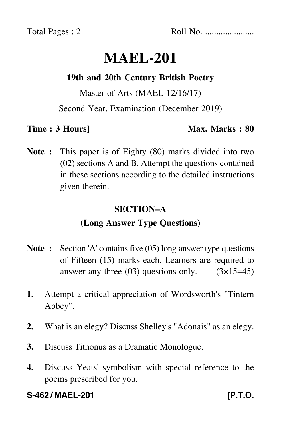Total Pages : 2 Roll No. ......................

# **MAEL-201**

### **19th and 20th Century British Poetry**

Master of Arts (MAEL-12/16/17)

Second Year, Examination (December 2019)

**Time : 3 Hours]** Max. Marks : 80

**Note :** This paper is of Eighty (80) marks divided into two (02) sections A and B. Attempt the questions contained in these sections according to the detailed instructions given therein.

### **SECTION–A**

## **(Long Answer Type Questions)**

- **Note :** Section 'A' contains five (05) long answer type questions of Fifteen (15) marks each. Learners are required to answer any three  $(03)$  questions only.  $(3\times15=45)$
- **1.** Attempt a critical appreciation of Wordsworth's "Tintern Abbey".
- **2.** What is an elegy? Discuss Shelley's "Adonais" as an elegy.
- **3.** Discuss Tithonus as a Dramatic Monologue.
- **4.** Discuss Yeats' symbolism with special reference to the poems prescribed for you.

## **S-462 / MAEL-201 [P.T.O.**